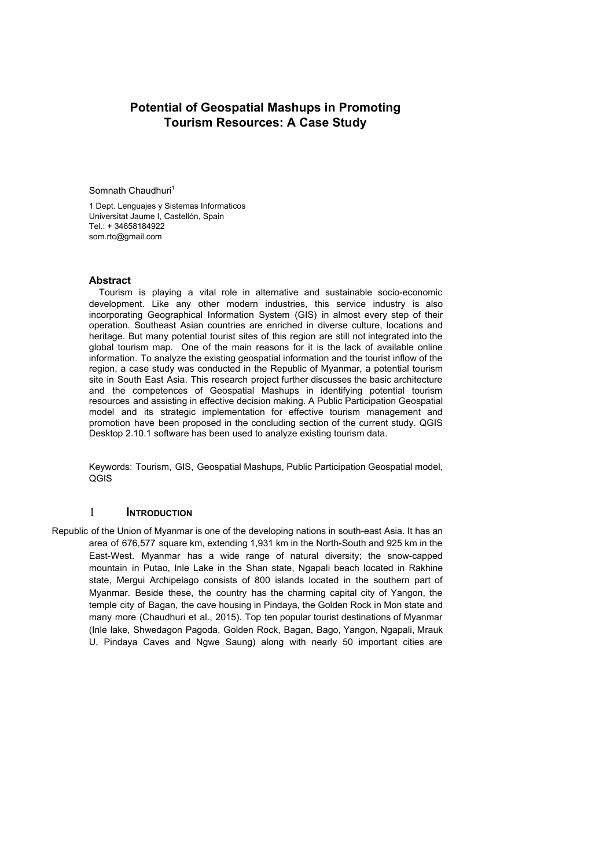# **Potential of Geospatial Mashups in Promoting Tourism Resources: A Case Study**

Somnath Chaudhuri<sup>1</sup>

1 Dept. Lenguajes y Sistemas Informaticos Universitat Jaume I, Castellón, Spain Tel.: + 34658184922 som.rtc@gmail.com

#### **Abstract**

Tourism is playing a vital role in alternative and sustainable socio-economic development. Like any other modern industries, this service industry is also incorporating Geographical Information System (GIS) in almost every step of their operation. Southeast Asian countries are enriched in diverse culture, locations and heritage. But many potential tourist sites of this region are still not integrated into the global tourism map. One of the main reasons for it is the lack of available online information. To analyze the existing geospatial information and the tourist inflow of the region, a case study was conducted in the Republic of Myanmar, a potential tourism site in South East Asia. This research project further discusses the basic architecture and the competences of Geospatial Mashups in identifying potential tourism resources and assisting in effective decision making. A Public Participation Geospatial model and its strategic implementation for effective tourism management and promotion have been proposed in the concluding section of the current study. QGIS Desktop 2.10.1 software has been used to analyze existing tourism data.

Keywords: Tourism, GIS, Geospatial Mashups, Public Participation Geospatial model, QGIS

### 1 **INTRODUCTION**

Republic of the Union of Myanmar is one of the developing nations in south-east Asia. It has an area of 676,577 square km, extending 1,931 km in the North-South and 925 km in the East-West. Myanmar has a wide range of natural diversity; the snow-capped mountain in Putao, Inle Lake in the Shan state, Ngapali beach located in Rakhine state, Mergui Archipelago consists of 800 islands located in the southern part of Myanmar. Beside these, the country has the charming capital city of Yangon, the temple city of Bagan, the cave housing in Pindaya, the Golden Rock in Mon state and many more (Chaudhuri et al., 2015). Top ten popular tourist destinations of Myanmar (Inle lake, Shwedagon Pagoda, Golden Rock, Bagan, Bago, Yangon, Ngapali, Mrauk U, Pindaya Caves and Ngwe Saung) along with nearly 50 important cities are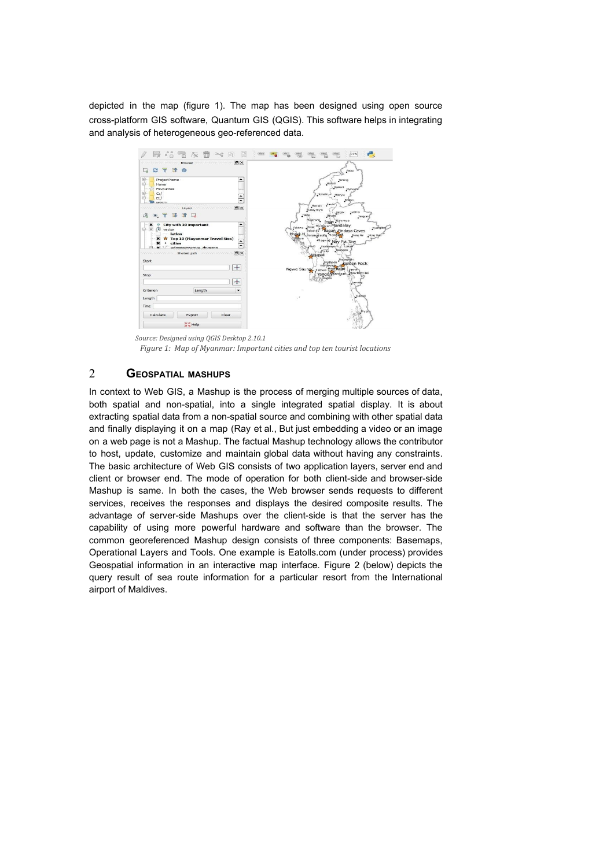depicted in the map (figure 1). The map has been designed using open source cross-platform GIS software, Quantum GIS (QGIS). This software helps in integrating and analysis of heterogeneous geo-referenced data.



 *Source: Designed using QGIS Desktop 2.10.1*

*Figure 1: Map of Myanmar: Important cities and top ten tourist locations*

## 2 **GEOSPATIAL MASHUPS**

In context to Web GIS, a Mashup is the process of merging multiple sources of data, both spatial and non-spatial, into a single integrated spatial display. It is about extracting spatial data from a non-spatial source and combining with other spatial data and finally displaying it on a map (Ray et al., But just embedding a video or an image on a web page is not a Mashup. The factual Mashup technology allows the contributor to host, update, customize and maintain global data without having any constraints. The basic architecture of Web GIS consists of two application layers, server end and client or browser end. The mode of operation for both client-side and browser-side Mashup is same. In both the cases, the Web browser sends requests to different services, receives the responses and displays the desired composite results. The advantage of server-side Mashups over the client-side is that the server has the capability of using more powerful hardware and software than the browser. The common georeferenced Mashup design consists of three components: Basemaps, Operational Layers and Tools. One example is Eatolls.com (under process) provides Geospatial information in an interactive map interface. Figure 2 (below) depicts the query result of sea route information for a particular resort from the International airport of Maldives.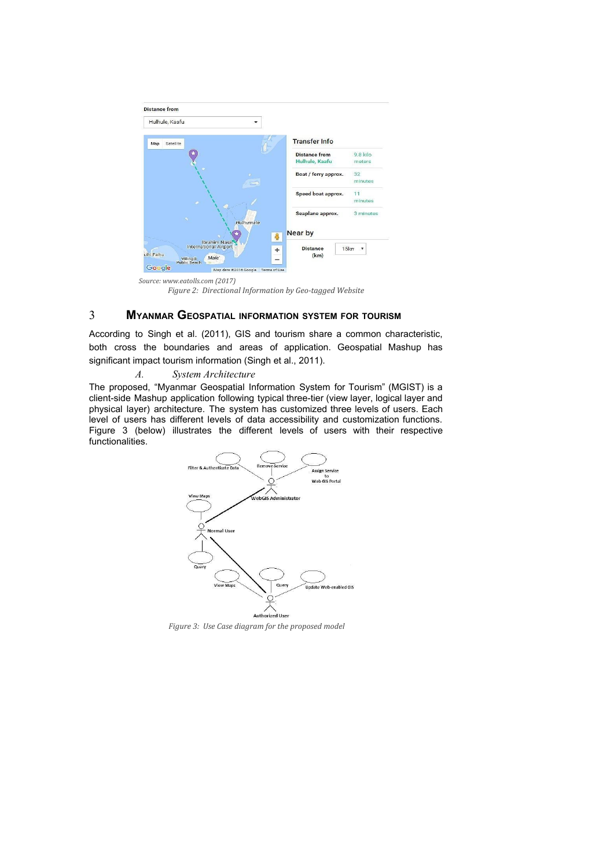

*Source: www.eatolls.com (2017) Figure 2: Directional Information by Geo-tagged Website*

## 3 **MYANMAR GEOSPATIAL INFORMATION SYSTEM FOR TOURISM**

According to Singh et al. (2011), GIS and tourism share a common characteristic, both cross the boundaries and areas of application. Geospatial Mashup has significant impact tourism information (Singh et al., 2011).

*A. System Architecture*

The proposed, "Myanmar Geospatial Information System for Tourism" (MGIST) is a client-side Mashup application following typical three-tier (view layer, logical layer and physical layer) architecture. The system has customized three levels of users. Each level of users has different levels of data accessibility and customization functions. Figure 3 (below) illustrates the different levels of users with their respective functionalities.



*Figure 3: Use Case diagram for the proposed model*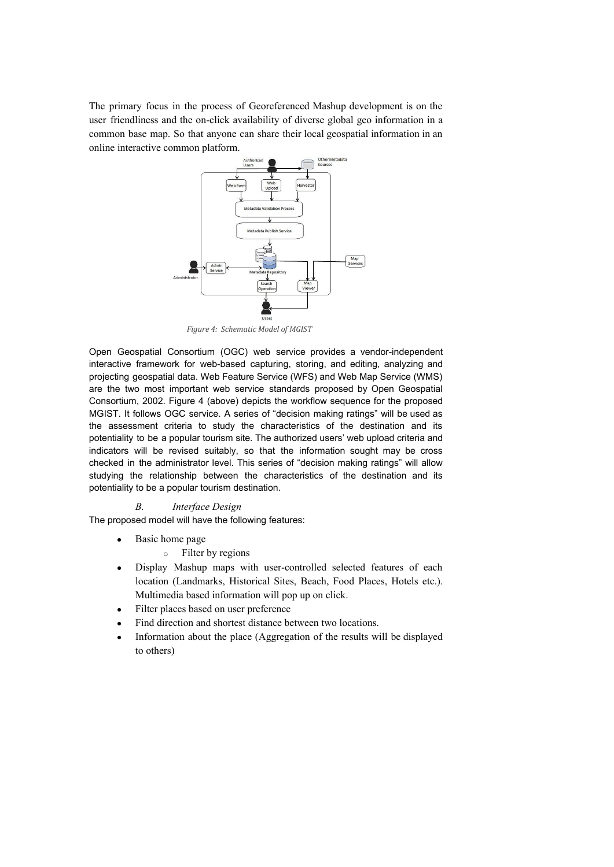The primary focus in the process of Georeferenced Mashup development is on the user friendliness and the on-click availability of diverse global geo information in a common base map. So that anyone can share their local geospatial information in an online interactive common platform.



*Figure 4: Schematic Model of MGIST*

Open Geospatial Consortium (OGC) web service provides a vendor-independent interactive framework for web-based capturing, storing, and editing, analyzing and projecting geospatial data. Web Feature Service (WFS) and Web Map Service (WMS) are the two most important web service standards proposed by Open Geospatial Consortium, 2002. Figure 4 (above) depicts the workflow sequence for the proposed MGIST. It follows OGC service. A series of "decision making ratings" will be used as the assessment criteria to study the characteristics of the destination and its potentiality to be a popular tourism site. The authorized users' web upload criteria and indicators will be revised suitably, so that the information sought may be cross checked in the administrator level. This series of "decision making ratings" will allow studying the relationship between the characteristics of the destination and its potentiality to be a popular tourism destination.

#### *B. Interface Design*

The proposed model will have the following features:

- Basic home page
	- o Filter by regions
- Display Mashup maps with user-controlled selected features of each location (Landmarks, Historical Sites, Beach, Food Places, Hotels etc.). Multimedia based information will pop up on click.
- Filter places based on user preference
- Find direction and shortest distance between two locations.
- Information about the place (Aggregation of the results will be displayed to others)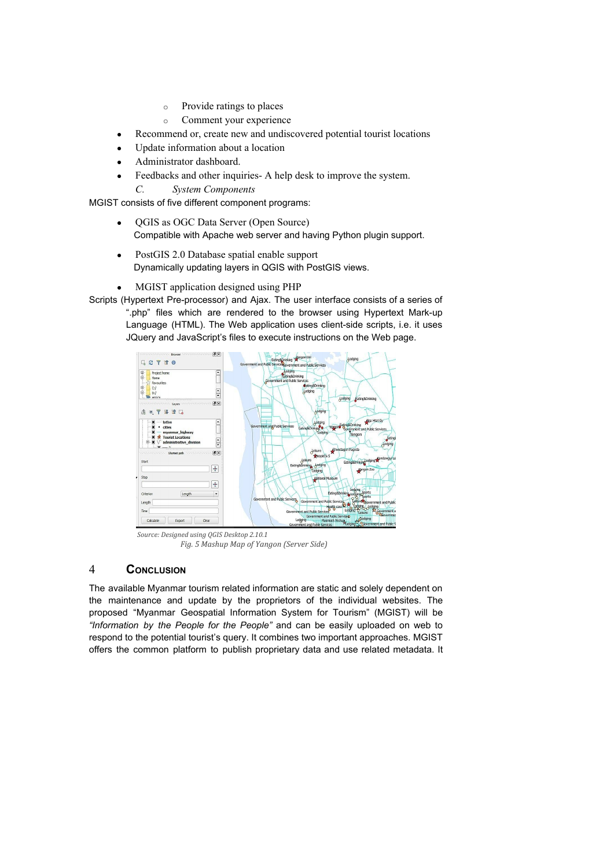- o Provide ratings to places
- o Comment your experience
- Recommend or, create new and undiscovered potential tourist locations
- Update information about a location
- Administrator dashboard.
- Feedbacks and other inquiries- A help desk to improve the system.
	- *C. System Components*

MGIST consists of five different component programs:

- QGIS as OGC Data Server (Open Source) Compatible with Apache web server and having Python plugin support.
- PostGIS 2.0 Database spatial enable support [Dynamically updating layers in QGIS with PostGIS views.](http://linfiniti.com/2013/04/dynamically-updating-layers-in-qgis-with-postgis-views/)
- MGIST application designed using PHP

Scripts (Hypertext Pre-processor) and Ajax. The user interface consists of a series of ".php" files which are rendered to the browser using Hypertext Mark-up Language (HTML). The Web application uses client-side scripts, i.e. it uses JQuery and JavaScript's files to execute instructions on the Web page.



*Source: Designed using QGIS Desktop 2.10.1 Fig. 5 Mashup Map of Yangon (Server Side)*

# 4 **CONCLUSION**

The available Myanmar tourism related information are static and solely dependent on the maintenance and update by the proprietors of the individual websites. The proposed "Myanmar Geospatial Information System for Tourism" (MGIST) will be *"Information by the People for the People"* and can be easily uploaded on web to respond to the potential tourist's query. It combines two important approaches. MGIST offers the common platform to publish proprietary data and use related metadata. It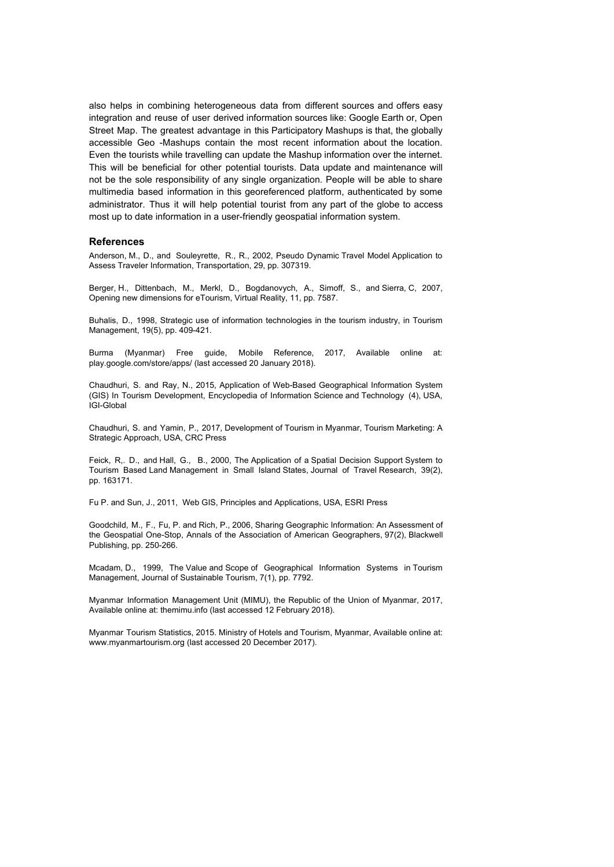also helps in combining heterogeneous data from different sources and offers easy integration and reuse of user derived information sources like: Google Earth or, Open Street Map. The greatest advantage in this Participatory Mashups is that, the globally accessible Geo -Mashups contain the most recent information about the location. Even the tourists while travelling can update the Mashup information over the internet. This will be beneficial for other potential tourists. Data update and maintenance will not be the sole responsibility of any single organization. People will be able to share multimedia based information in this georeferenced platform, authenticated by some administrator. Thus it will help potential tourist from any part of the globe to access most up to date information in a user-friendly geospatial information system.

#### **References**

Anderson, M., D., and Souleyrette, R., R., 2002, Pseudo Dynamic Travel Model Application to Assess Traveler Information, Transportation, 29, pp. 307319.

Berger, H., Dittenbach, M., Merkl, D., Bogdanovych, A., Simoff, S., and Sierra, C, 2007, Opening new dimensions for eTourism, Virtual Reality, 11, pp. 7587.

Buhalis, D., 1998, Strategic use of information technologies in the tourism industry, in Tourism Management, 19(5), pp. 409-421.

Burma (Myanmar) Free guide, Mobile Reference, 2017, Available online at: play.google.com/store/apps/ (last accessed 20 January 2018).

Chaudhuri, S. and Ray, N., 2015, Application of Web-Based Geographical Information System (GIS) In Tourism Development, Encyclopedia of Information Science and Technology (4), USA, IGI-Global

Chaudhuri, S. and Yamin, P., 2017, Development of Tourism in Myanmar, Tourism Marketing: A Strategic Approach, USA, CRC Press

Feick, R,. D., and Hall, G., B., 2000, The Application of a Spatial Decision Support System to Tourism Based Land Management in Small Island States, Journal of Travel Research, 39(2), pp. 163171.

Fu P. and Sun, J., 2011, Web GIS, Principles and Applications, USA, ESRI Press

Goodchild, M., F., Fu, P. and Rich, P., 2006, Sharing Geographic Information: An Assessment of the Geospatial One-Stop, Annals of the Association of American Geographers, 97(2), Blackwell Publishing, pp. 250-266.

Mcadam, D., 1999, The Value and Scope of Geographical Information Systems in Tourism Management, Journal of Sustainable Tourism, 7(1), pp. 7792.

Myanmar Information Management Unit (MIMU), the Republic of the Union of Myanmar, 2017, Available online at: themimu.info (last accessed 12 February 2018).

Myanmar Tourism Statistics, 2015. Ministry of Hotels and Tourism, Myanmar, Available online at: www.myanmartourism.org (last accessed 20 December 2017).